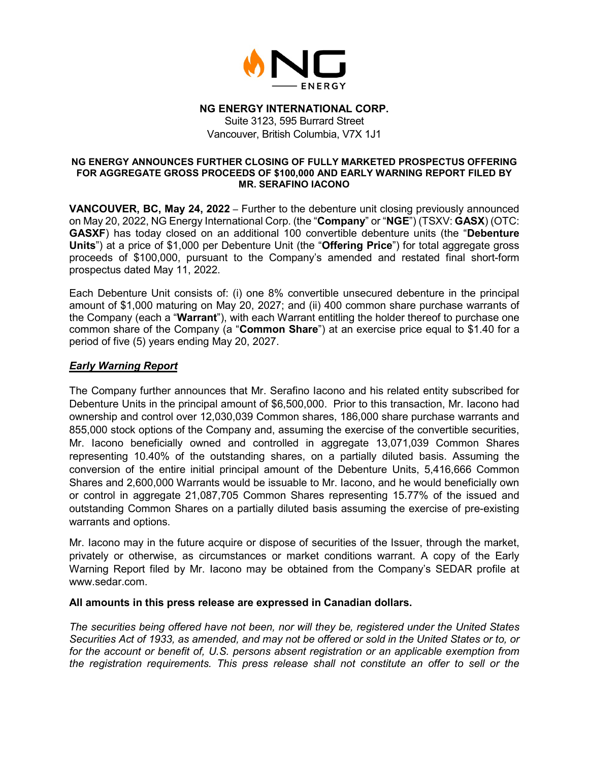

## **NG ENERGY INTERNATIONAL CORP.**

Suite 3123, 595 Burrard Street Vancouver, British Columbia, V7X 1J1

#### **NG ENERGY ANNOUNCES FURTHER CLOSING OF FULLY MARKETED PROSPECTUS OFFERING FOR AGGREGATE GROSS PROCEEDS OF \$100,000 AND EARLY WARNING REPORT FILED BY MR. SERAFINO IACONO**

**VANCOUVER, BC, May 24, 2022** – Further to the debenture unit closing previously announced on May 20, 2022, NG Energy International Corp. (the "**Company**" or "**NGE**") (TSXV: **GASX**) (OTC: **GASXF**) has today closed on an additional 100 convertible debenture units (the "**Debenture Units**") at a price of \$1,000 per Debenture Unit (the "**Offering Price**") for total aggregate gross proceeds of \$100,000, pursuant to the Company's amended and restated final short-form prospectus dated May 11, 2022.

Each Debenture Unit consists of: (i) one 8% convertible unsecured debenture in the principal amount of \$1,000 maturing on May 20, 2027; and (ii) 400 common share purchase warrants of the Company (each a "**Warrant**"), with each Warrant entitling the holder thereof to purchase one common share of the Company (a "**Common Share**") at an exercise price equal to \$1.40 for a period of five (5) years ending May 20, 2027.

# *Early Warning Report*

The Company further announces that Mr. Serafino Iacono and his related entity subscribed for Debenture Units in the principal amount of \$6,500,000. Prior to this transaction, Mr. Iacono had ownership and control over 12,030,039 Common shares, 186,000 share purchase warrants and 855,000 stock options of the Company and, assuming the exercise of the convertible securities, Mr. Iacono beneficially owned and controlled in aggregate 13,071,039 Common Shares representing 10.40% of the outstanding shares, on a partially diluted basis. Assuming the conversion of the entire initial principal amount of the Debenture Units, 5,416,666 Common Shares and 2,600,000 Warrants would be issuable to Mr. Iacono, and he would beneficially own or control in aggregate 21,087,705 Common Shares representing 15.77% of the issued and outstanding Common Shares on a partially diluted basis assuming the exercise of pre-existing warrants and options.

Mr. Iacono may in the future acquire or dispose of securities of the Issuer, through the market, privately or otherwise, as circumstances or market conditions warrant. A copy of the Early Warning Report filed by Mr. Iacono may be obtained from the Company's SEDAR profile at www.sedar.com.

# **All amounts in this press release are expressed in Canadian dollars.**

*The securities being offered have not been, nor will they be, registered under the United States Securities Act of 1933, as amended, and may not be offered or sold in the United States or to, or for the account or benefit of, U.S. persons absent registration or an applicable exemption from the registration requirements. This press release shall not constitute an offer to sell or the*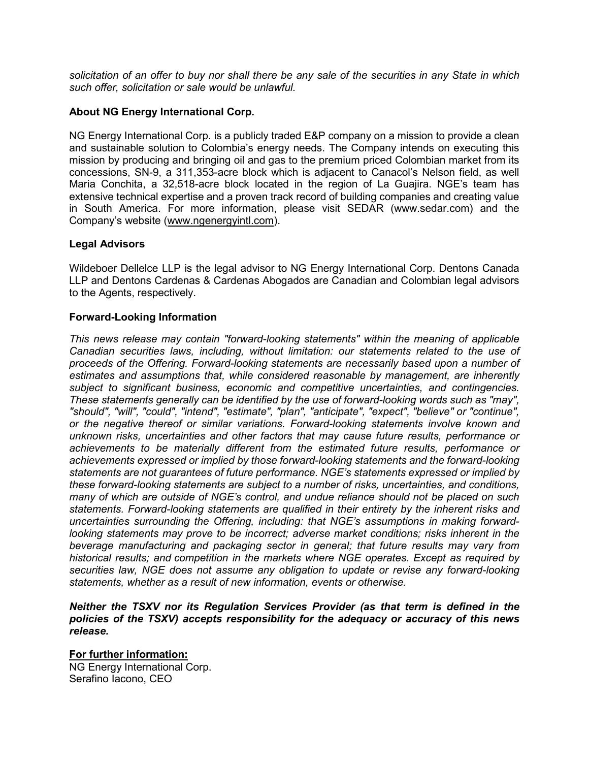*solicitation of an offer to buy nor shall there be any sale of the securities in any State in which such offer, solicitation or sale would be unlawful.*

# **About NG Energy International Corp.**

NG Energy International Corp. is a publicly traded E&P company on a mission to provide a clean and sustainable solution to Colombia's energy needs. The Company intends on executing this mission by producing and bringing oil and gas to the premium priced Colombian market from its concessions, SN-9, a 311,353-acre block which is adjacent to Canacol's Nelson field, as well Maria Conchita, a 32,518-acre block located in the region of La Guajira. NGE's team has extensive technical expertise and a proven track record of building companies and creating value in South America. For more information, please visit SEDAR (www.sedar.com) and the Company's website [\(www.ngenergyintl.com\)](http://www.ngenergyintl.com/).

## **Legal Advisors**

Wildeboer Dellelce LLP is the legal advisor to NG Energy International Corp. Dentons Canada LLP and Dentons Cardenas & Cardenas Abogados are Canadian and Colombian legal advisors to the Agents, respectively.

## **Forward-Looking Information**

*This news release may contain "forward-looking statements" within the meaning of applicable Canadian securities laws, including, without limitation: our statements related to the use of proceeds of the Offering. Forward-looking statements are necessarily based upon a number of estimates and assumptions that, while considered reasonable by management, are inherently subject to significant business, economic and competitive uncertainties, and contingencies. These statements generally can be identified by the use of forward-looking words such as "may", "should", "will", "could", "intend", "estimate", "plan", "anticipate", "expect", "believe" or "continue", or the negative thereof or similar variations. Forward-looking statements involve known and unknown risks, uncertainties and other factors that may cause future results, performance or achievements to be materially different from the estimated future results, performance or achievements expressed or implied by those forward-looking statements and the forward-looking statements are not guarantees of future performance. NGE's statements expressed or implied by these forward-looking statements are subject to a number of risks, uncertainties, and conditions, many of which are outside of NGE's control, and undue reliance should not be placed on such statements. Forward-looking statements are qualified in their entirety by the inherent risks and uncertainties surrounding the Offering, including: that NGE's assumptions in making forwardlooking statements may prove to be incorrect; adverse market conditions; risks inherent in the beverage manufacturing and packaging sector in general; that future results may vary from historical results; and competition in the markets where NGE operates. Except as required by securities law, NGE does not assume any obligation to update or revise any forward-looking statements, whether as a result of new information, events or otherwise.* 

#### *Neither the TSXV nor its Regulation Services Provider (as that term is defined in the policies of the TSXV) accepts responsibility for the adequacy or accuracy of this news release.*

**For further information:** NG Energy International Corp. Serafino Iacono, CEO